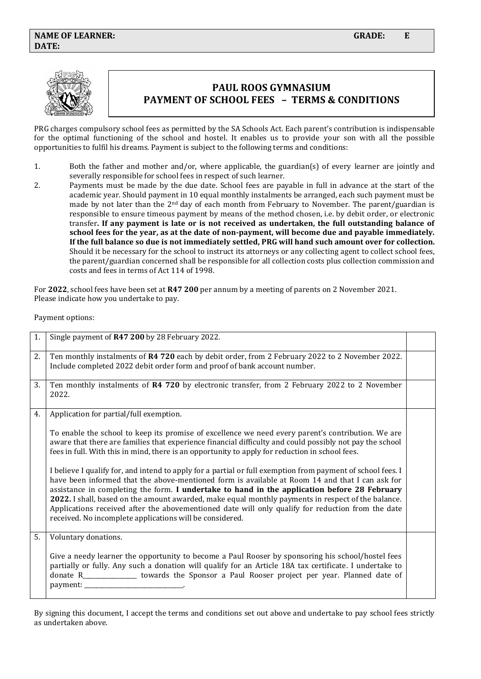

# **PAUL ROOS GYMNASIUM PAYMENT OF SCHOOL FEES – TERMS & CONDITIONS**

PRG charges compulsory school fees as permitted by the SA Schools Act. Each parent's contribution is indispensable for the optimal functioning of the school and hostel. It enables us to provide your son with all the possible opportunities to fulfil his dreams. Payment is subject to the following terms and conditions:

- 1. Both the father and mother and/or, where applicable, the guardian(s) of every learner are jointly and severally responsible for school fees in respect of such learner.
- 2. Payments must be made by the due date. School fees are payable in full in advance at the start of the academic year. Should payment in 10 equal monthly instalments be arranged, each such payment must be made by not later than the  $2<sup>nd</sup>$  day of each month from February to November. The parent/guardian is responsible to ensure timeous payment by means of the method chosen, i.e. by debit order, or electronic transfer**. If any payment is late or is not received as undertaken, the full outstanding balance of school fees for the year, as at the date of non-payment, will become due and payable immediately. If the full balance so due is not immediately settled, PRG will hand such amount over for collection.** Should it be necessary for the school to instruct its attorneys or any collecting agent to collect school fees, the parent/guardian concerned shall be responsible for all collection costs plus collection commission and costs and fees in terms of Act 114 of 1998.

For **2022**, school fees have been set at **R47 200** per annum by a meeting of parents on 2 November 2021. Please indicate how you undertake to pay.

Payment options:

| 1. | Single payment of R47 200 by 28 February 2022.                                                                                                                                                                                                                                                                                                                                                                                                                                                                                                                                        |  |
|----|---------------------------------------------------------------------------------------------------------------------------------------------------------------------------------------------------------------------------------------------------------------------------------------------------------------------------------------------------------------------------------------------------------------------------------------------------------------------------------------------------------------------------------------------------------------------------------------|--|
| 2. | Ten monthly instalments of R4 720 each by debit order, from 2 February 2022 to 2 November 2022.<br>Include completed 2022 debit order form and proof of bank account number.                                                                                                                                                                                                                                                                                                                                                                                                          |  |
| 3. | Ten monthly instalments of R4 720 by electronic transfer, from 2 February 2022 to 2 November<br>2022.                                                                                                                                                                                                                                                                                                                                                                                                                                                                                 |  |
| 4. | Application for partial/full exemption.                                                                                                                                                                                                                                                                                                                                                                                                                                                                                                                                               |  |
|    | To enable the school to keep its promise of excellence we need every parent's contribution. We are<br>aware that there are families that experience financial difficulty and could possibly not pay the school<br>fees in full. With this in mind, there is an opportunity to apply for reduction in school fees.                                                                                                                                                                                                                                                                     |  |
|    | I believe I qualify for, and intend to apply for a partial or full exemption from payment of school fees. I<br>have been informed that the above-mentioned form is available at Room 14 and that I can ask for<br>assistance in completing the form. I undertake to hand in the application before 28 February<br>2022. I shall, based on the amount awarded, make equal monthly payments in respect of the balance.<br>Applications received after the abovementioned date will only qualify for reduction from the date<br>received. No incomplete applications will be considered. |  |
| 5. | Voluntary donations.                                                                                                                                                                                                                                                                                                                                                                                                                                                                                                                                                                  |  |
|    | Give a needy learner the opportunity to become a Paul Rooser by sponsoring his school/hostel fees<br>partially or fully. Any such a donation will qualify for an Article 18A tax certificate. I undertake to<br>donate R_______________ towards the Sponsor a Paul Rooser project per year. Planned date of<br>payment:                                                                                                                                                                                                                                                               |  |

By signing this document, I accept the terms and conditions set out above and undertake to pay school fees strictly as undertaken above.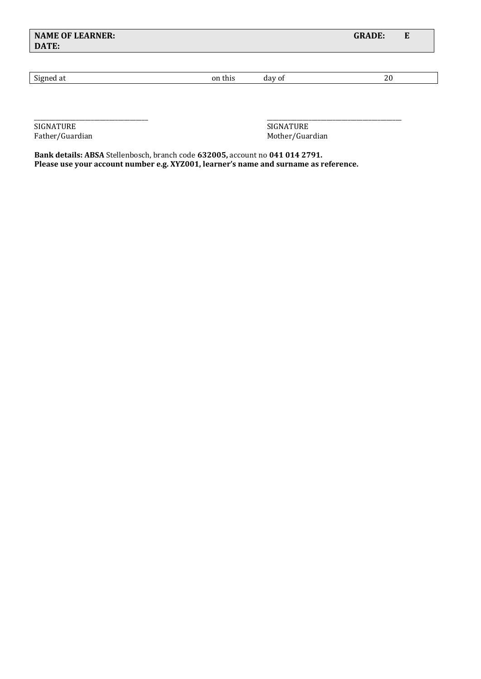| <b>NAME OF LEARNER:</b><br>DATE: |         |        | <b>GRADE:</b><br>E |
|----------------------------------|---------|--------|--------------------|
| Signed at                        | on this | day of | 20                 |
|                                  |         |        |                    |

\_\_\_\_\_\_\_\_\_\_\_\_\_\_\_\_\_\_\_\_\_\_\_\_\_\_\_\_\_\_\_\_\_\_\_\_\_\_ \_\_\_\_\_\_\_\_\_\_\_\_\_\_\_\_\_\_\_\_\_\_\_\_\_\_\_\_\_\_\_\_\_\_\_\_\_\_\_\_\_\_\_\_\_ SIGNATURE Father/Guardian and the state of the SIGNATURE Father/Guardian and SIGNATURE Father/Guardian and SIGNATURE SIGNATURE  $\sim$ 

Mother/Guardian

**Bank details: ABSA** Stellenbosch, branch code **632005,** account no **041 014 2791. Please use your account number e.g. XYZ001, learner's name and surname as reference.**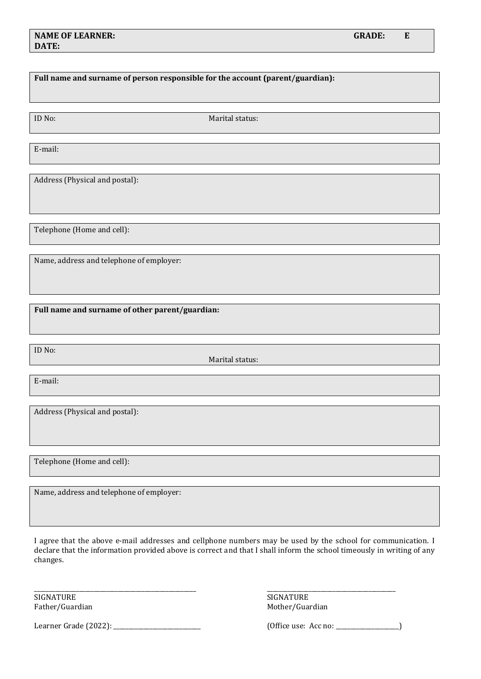### **NAME OF LEARNER:** GRADE: E **DATE:**

## **Full name and surname of person responsible for the account (parent/guardian):**

ID No: Marital status:

E-mail:

Address (Physical and postal):

Telephone (Home and cell):

Name, address and telephone of employer:

**Full name and surname of other parent/guardian:** 

ID No:

Marital status:

E-mail:

Address (Physical and postal):

Telephone (Home and cell):

Name, address and telephone of employer:

I agree that the above e-mail addresses and cellphone numbers may be used by the school for communication. I declare that the information provided above is correct and that I shall inform the school timeously in writing of any changes.

\_\_\_\_\_\_\_\_\_\_\_\_\_\_\_\_\_\_\_\_\_\_\_\_\_\_\_\_\_\_\_\_\_\_\_\_\_\_\_\_\_\_\_\_\_\_\_\_\_\_\_\_\_\_ \_\_\_\_\_\_\_\_\_\_\_\_\_\_\_\_\_\_\_\_\_\_\_\_\_\_\_\_\_\_\_\_\_\_\_\_\_\_\_\_\_\_\_

SIGNATURE SIGNATURE SIGNATURE SIGNATURE

Father/Guardian Mother/Guardian Mother/Guardian

Learner Grade (2022): \_\_\_\_\_\_\_\_\_\_\_\_\_\_\_\_\_\_\_\_\_\_\_\_\_\_\_\_\_ (Office use: Acc no: \_\_\_\_\_\_\_\_\_\_\_\_\_\_\_\_\_\_\_\_\_)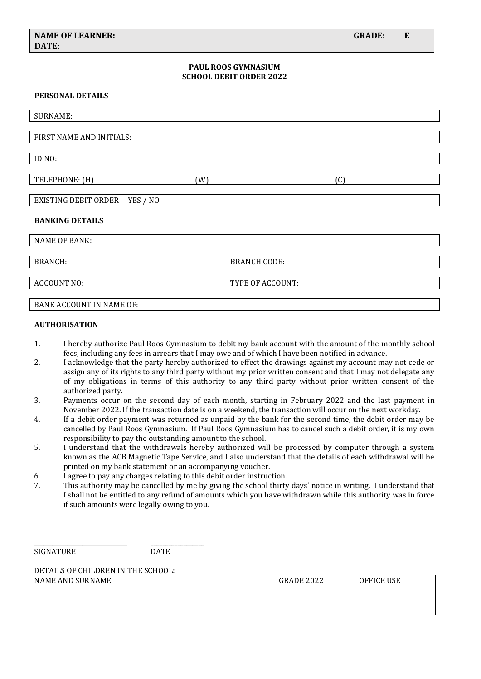### **PAUL ROOS GYMNASIUM SCHOOL DEBIT ORDER 2022**

#### **PERSONAL DETAILS**

| <b>SURNAME:</b>               |   |     |  |  |
|-------------------------------|---|-----|--|--|
|                               |   |     |  |  |
| FIRST NAME AND INITIALS:      |   |     |  |  |
|                               |   |     |  |  |
| ID NO:                        |   |     |  |  |
|                               |   |     |  |  |
| TELEPHONE: (H)                | W | (C) |  |  |
|                               |   |     |  |  |
| EXISTING DEBIT ORDER YES / NO |   |     |  |  |
|                               |   |     |  |  |

#### **BANKING DETAILS**

NAME OF BANK:

BRANCH: BRANCH CODE:

ACCOUNT NO: TYPE OF ACCOUNT:

### BANK ACCOUNT IN NAME OF:

#### **AUTHORISATION**

- 1. I hereby authorize Paul Roos Gymnasium to debit my bank account with the amount of the monthly school fees, including any fees in arrears that I may owe and of which I have been notified in advance.
- 2. I acknowledge that the party hereby authorized to effect the drawings against my account may not cede or assign any of its rights to any third party without my prior written consent and that I may not delegate any of my obligations in terms of this authority to any third party without prior written consent of the authorized party.
- 3. Payments occur on the second day of each month, starting in February 2022 and the last payment in November 2022. If the transaction date is on a weekend, the transaction will occur on the next workday.
- 4. If a debit order payment was returned as unpaid by the bank for the second time, the debit order may be cancelled by Paul Roos Gymnasium. If Paul Roos Gymnasium has to cancel such a debit order, it is my own responsibility to pay the outstanding amount to the school.
- 5. I understand that the withdrawals hereby authorized will be processed by computer through a system known as the ACB Magnetic Tape Service, and I also understand that the details of each withdrawal will be printed on my bank statement or an accompanying voucher.
- 6. I agree to pay any charges relating to this debit order instruction.
- 7. This authority may be cancelled by me by giving the school thirty days' notice in writing. I understand that I shall not be entitled to any refund of amounts which you have withdrawn while this authority was in force if such amounts were legally owing to you.

SIGNATURE DATE

#### DETAILS OF CHILDREN IN THE SCHOOL:

\_\_\_\_\_\_\_\_\_\_\_\_\_\_\_\_\_\_\_\_\_\_\_\_\_\_\_\_\_\_\_ \_\_\_\_\_\_\_\_\_\_\_\_\_\_\_\_\_\_

| NAME AND SURNAME | <b>GRADE 2022</b> | <b>OFFICE USE</b> |
|------------------|-------------------|-------------------|
|                  |                   |                   |
|                  |                   |                   |
|                  |                   |                   |